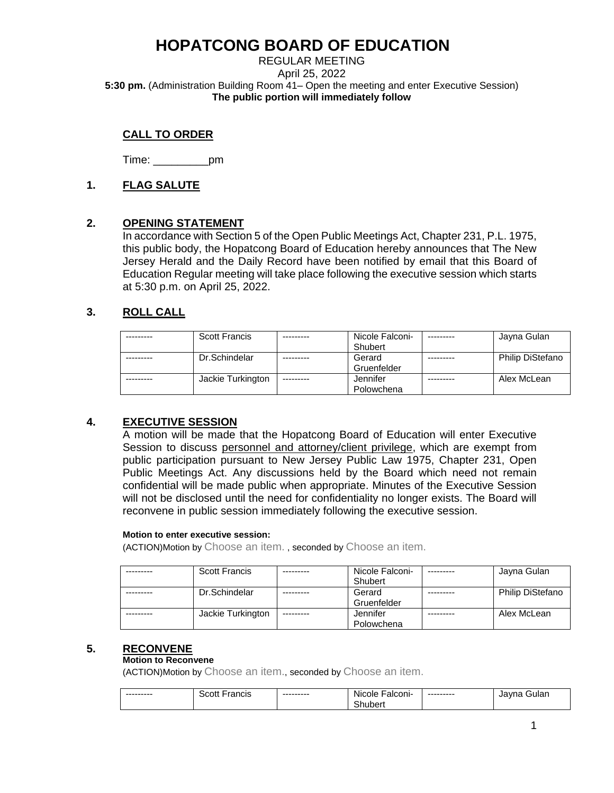REGULAR MEETING April 25, 2022 **5:30 pm.** (Administration Building Room 41– Open the meeting and enter Executive Session) **The public portion will immediately follow**

## **CALL TO ORDER**

Time: \_\_\_\_\_\_\_\_\_pm

### **1. FLAG SALUTE**

### **2. OPENING STATEMENT**

In accordance with Section 5 of the Open Public Meetings Act, Chapter 231, P.L. 1975, this public body, the Hopatcong Board of Education hereby announces that The New Jersey Herald and the Daily Record have been notified by email that this Board of Education Regular meeting will take place following the executive session which starts at 5:30 p.m. on April 25, 2022.

### **3. ROLL CALL**

| <b>Scott Francis</b> |           | Nicole Falconi- | Jayna Gulan      |
|----------------------|-----------|-----------------|------------------|
|                      |           | Shubert         |                  |
| Dr.Schindelar        |           | Gerard          | Philip DiStefano |
|                      |           | Gruenfelder     |                  |
| Jackie Turkington    | --------- | Jennifer        | Alex McLean      |
|                      |           | Polowchena      |                  |

### **4. EXECUTIVE SESSION**

A motion will be made that the Hopatcong Board of Education will enter Executive Session to discuss personnel and attorney/client privilege, which are exempt from public participation pursuant to New Jersey Public Law 1975, Chapter 231, Open Public Meetings Act. Any discussions held by the Board which need not remain confidential will be made public when appropriate. Minutes of the Executive Session will not be disclosed until the need for confidentiality no longer exists. The Board will reconvene in public session immediately following the executive session.

### **Motion to enter executive session:**

(ACTION)Motion by Choose an item. , seconded by Choose an item.

| <b>Scott Francis</b> |            | Nicole Falconi- | ---------- | Jayna Gulan             |
|----------------------|------------|-----------------|------------|-------------------------|
|                      |            | Shubert         |            |                         |
| Dr.Schindelar        |            | Gerard          |            | <b>Philip DiStefano</b> |
|                      |            | Gruenfelder     |            |                         |
| Jackie Turkington    | ---------- | Jennifer        |            | Alex McLean             |
|                      |            | Polowchena      |            |                         |

### **5. RECONVENE**

### **Motion to Reconvene**

(ACTION)Motion by Choose an item., seconded by Choose an item.

| --------- | Scott<br>Francis | --------- | alconi-<br><b>Nicole</b> | --------- | Gular<br>Javna |
|-----------|------------------|-----------|--------------------------|-----------|----------------|
|           |                  |           | ~<br><b>Shubert</b>      |           |                |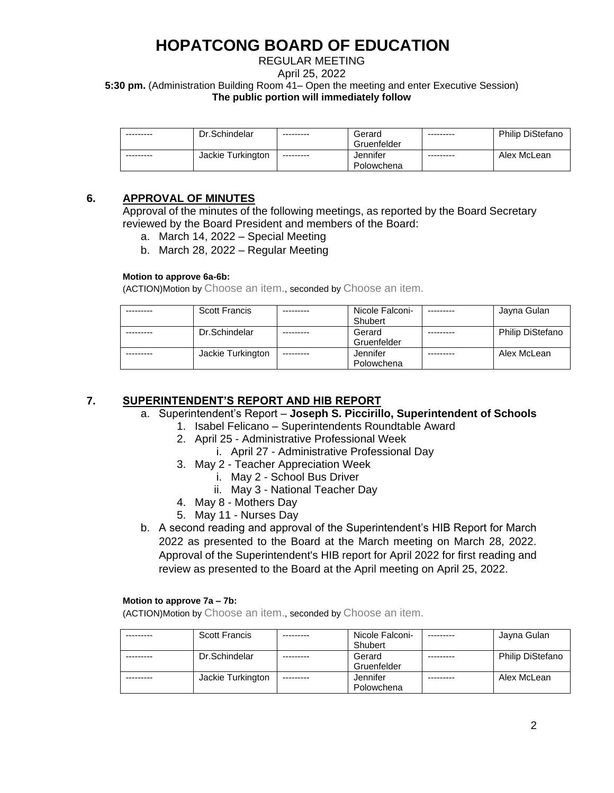REGULAR MEETING April 25, 2022 **5:30 pm.** (Administration Building Room 41– Open the meeting and enter Executive Session) **The public portion will immediately follow**

| --------- | Dr.Schindelar     | --------- | Gerard      | --------- | <b>Philip DiStefano</b> |
|-----------|-------------------|-----------|-------------|-----------|-------------------------|
|           |                   |           | Gruenfelder |           |                         |
| --------- | Jackie Turkington | --------- | Jennifer    | --------- | Alex McLean             |
|           |                   |           | Polowchena  |           |                         |

### **6. APPROVAL OF MINUTES**

Approval of the minutes of the following meetings, as reported by the Board Secretary reviewed by the Board President and members of the Board:

- a. March 14, 2022 Special Meeting
- b. March 28, 2022 Regular Meeting

#### **Motion to approve 6a-6b:**

(ACTION)Motion by Choose an item., seconded by Choose an item.

| <b>Scott Francis</b> |           | Nicole Falconi- | Jayna Gulan             |
|----------------------|-----------|-----------------|-------------------------|
|                      |           | Shubert         |                         |
| Dr.Schindelar        |           | Gerard          | <b>Philip DiStefano</b> |
|                      |           | Gruenfelder     |                         |
| Jackie Turkington    | --------- | Jennifer        | Alex McLean             |
|                      |           | Polowchena      |                         |

### **7. SUPERINTENDENT'S REPORT AND HIB REPORT**

- a. Superintendent's Report **Joseph S. Piccirillo, Superintendent of Schools**
	- 1. Isabel Felicano Superintendents Roundtable Award
	- 2. April 25 Administrative Professional Week
		- i. April 27 Administrative Professional Day
	- 3. May 2 Teacher Appreciation Week
		- i. May 2 School Bus Driver
		- ii. May 3 National Teacher Day
	- 4. May 8 Mothers Day
	- 5. May 11 Nurses Day
- b. A second reading and approval of the Superintendent's HIB Report for March 2022 as presented to the Board at the March meeting on March 28, 2022. Approval of the Superintendent's HIB report for April 2022 for first reading and review as presented to the Board at the April meeting on April 25, 2022.

### **Motion to approve 7a – 7b:**

(ACTION)Motion by Choose an item., seconded by Choose an item.

| <b>Scott Francis</b> |           | Nicole Falconi- | Jayna Gulan             |
|----------------------|-----------|-----------------|-------------------------|
|                      |           | Shubert         |                         |
| Dr.Schindelar        |           | Gerard          | <b>Philip DiStefano</b> |
|                      |           | Gruenfelder     |                         |
| Jackie Turkington    | --------- | Jennifer        | Alex McLean             |
|                      |           | Polowchena      |                         |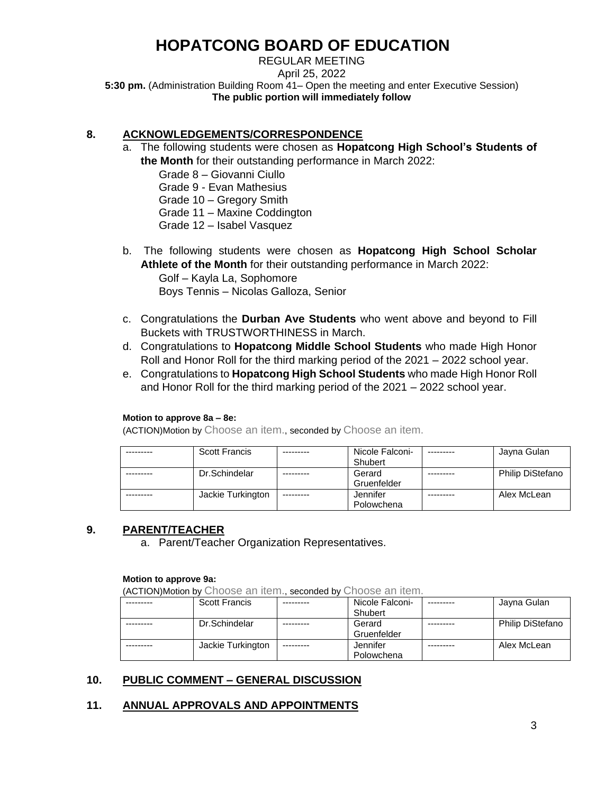REGULAR MEETING April 25, 2022 **5:30 pm.** (Administration Building Room 41– Open the meeting and enter Executive Session) **The public portion will immediately follow**

## **8. ACKNOWLEDGEMENTS/CORRESPONDENCE**

a. The following students were chosen as **Hopatcong High School's Students of the Month** for their outstanding performance in March 2022:

Grade 8 – Giovanni Ciullo Grade 9 - Evan Mathesius

Grade 10 – Gregory Smith

Grade 11 – Maxine Coddington

Grade 12 – Isabel Vasquez

b. The following students were chosen as **Hopatcong High School Scholar Athlete of the Month** for their outstanding performance in March 2022:

Golf – Kayla La, Sophomore Boys Tennis – Nicolas Galloza, Senior

- c. Congratulations the **Durban Ave Students** who went above and beyond to Fill Buckets with TRUSTWORTHINESS in March.
- d. Congratulations to **Hopatcong Middle School Students** who made High Honor Roll and Honor Roll for the third marking period of the 2021 – 2022 school year.
- e. Congratulations to **Hopatcong High School Students** who made High Honor Roll and Honor Roll for the third marking period of the 2021 – 2022 school year.

### **Motion to approve 8a – 8e:**

(ACTION)Motion by Choose an item., seconded by Choose an item.

| <b>Scott Francis</b> |           | Nicole Falconi- | Jayna Gulan      |
|----------------------|-----------|-----------------|------------------|
|                      |           | Shubert         |                  |
| Dr.Schindelar        |           | Gerard          | Philip DiStefano |
|                      |           | Gruenfelder     |                  |
| Jackie Turkington    | --------- | Jennifer        | Alex McLean      |
|                      |           | Polowchena      |                  |

### **9. PARENT/TEACHER**

a. Parent/Teacher Organization Representatives.

#### **Motion to approve 9a:**

(ACTION)Motion by Choose an item., seconded by Choose an item.

| <b>Scott Francis</b> |            | Nicole Falconi- | Jayna Gulan             |
|----------------------|------------|-----------------|-------------------------|
|                      |            | Shubert         |                         |
| Dr.Schindelar        |            | Gerard          | <b>Philip DiStefano</b> |
|                      |            | Gruenfelder     |                         |
| Jackie Turkington    | ---------- | Jennifer        | Alex McLean             |
|                      |            | Polowchena      |                         |

## **10. PUBLIC COMMENT – GENERAL DISCUSSION**

### **11. ANNUAL APPROVALS AND APPOINTMENTS**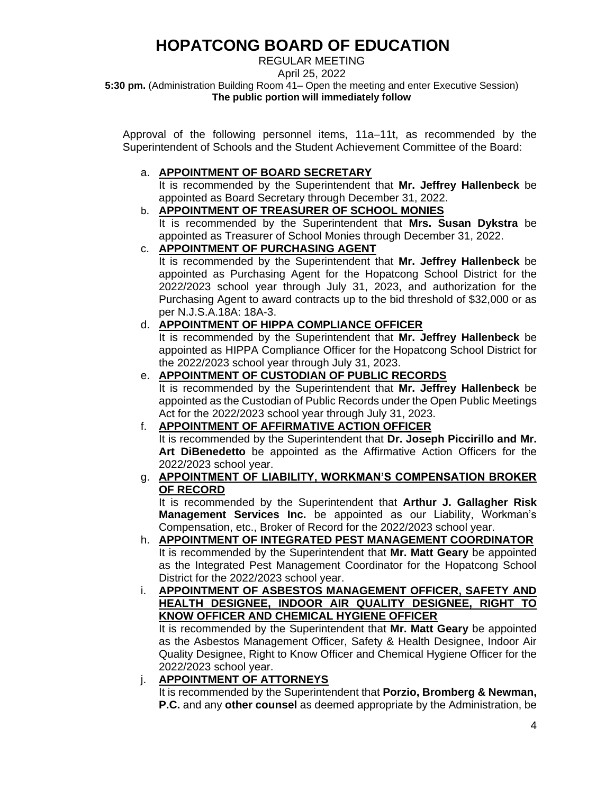#### REGULAR MEETING April 25, 2022 **5:30 pm.** (Administration Building Room 41– Open the meeting and enter Executive Session) **The public portion will immediately follow**

Approval of the following personnel items, 11a–11t, as recommended by the Superintendent of Schools and the Student Achievement Committee of the Board:

## a. **APPOINTMENT OF BOARD SECRETARY**

It is recommended by the Superintendent that **Mr. Jeffrey Hallenbeck** be appointed as Board Secretary through December 31, 2022.

## b. **APPOINTMENT OF TREASURER OF SCHOOL MONIES**

It is recommended by the Superintendent that **Mrs. Susan Dykstra** be appointed as Treasurer of School Monies through December 31, 2022.

#### c. **APPOINTMENT OF PURCHASING AGENT** It is recommended by the Superintendent that **Mr. Jeffrey Hallenbeck** be appointed as Purchasing Agent for the Hopatcong School District for the 2022/2023 school year through July 31, 2023, and authorization for the Purchasing Agent to award contracts up to the bid threshold of \$32,000 or as per N.J.S.A.18A: 18A-3.

## d. **APPOINTMENT OF HIPPA COMPLIANCE OFFICER**

It is recommended by the Superintendent that **Mr. Jeffrey Hallenbeck** be appointed as HIPPA Compliance Officer for the Hopatcong School District for the 2022/2023 school year through July 31, 2023.

## e. **APPOINTMENT OF CUSTODIAN OF PUBLIC RECORDS**

It is recommended by the Superintendent that **Mr. Jeffrey Hallenbeck** be appointed as the Custodian of Public Records under the Open Public Meetings Act for the 2022/2023 school year through July 31, 2023.

### f. **APPOINTMENT OF AFFIRMATIVE ACTION OFFICER**

It is recommended by the Superintendent that **Dr. Joseph Piccirillo and Mr. Art DiBenedetto** be appointed as the Affirmative Action Officers for the 2022/2023 school year.

### g. **APPOINTMENT OF LIABILITY, WORKMAN'S COMPENSATION BROKER OF RECORD**

It is recommended by the Superintendent that **Arthur J. Gallagher Risk Management Services Inc.** be appointed as our Liability, Workman's Compensation, etc., Broker of Record for the 2022/2023 school year.

- h. **APPOINTMENT OF INTEGRATED PEST MANAGEMENT COORDINATOR**  It is recommended by the Superintendent that **Mr. Matt Geary** be appointed as the Integrated Pest Management Coordinator for the Hopatcong School District for the 2022/2023 school year.
- i. **APPOINTMENT OF ASBESTOS MANAGEMENT OFFICER, SAFETY AND HEALTH DESIGNEE, INDOOR AIR QUALITY DESIGNEE, RIGHT TO KNOW OFFICER AND CHEMICAL HYGIENE OFFICER**

It is recommended by the Superintendent that **Mr. Matt Geary** be appointed as the Asbestos Management Officer, Safety & Health Designee, Indoor Air Quality Designee, Right to Know Officer and Chemical Hygiene Officer for the 2022/2023 school year.

### j. **APPOINTMENT OF ATTORNEYS**

It is recommended by the Superintendent that **Porzio, Bromberg & Newman, P.C.** and any **other counsel** as deemed appropriate by the Administration, be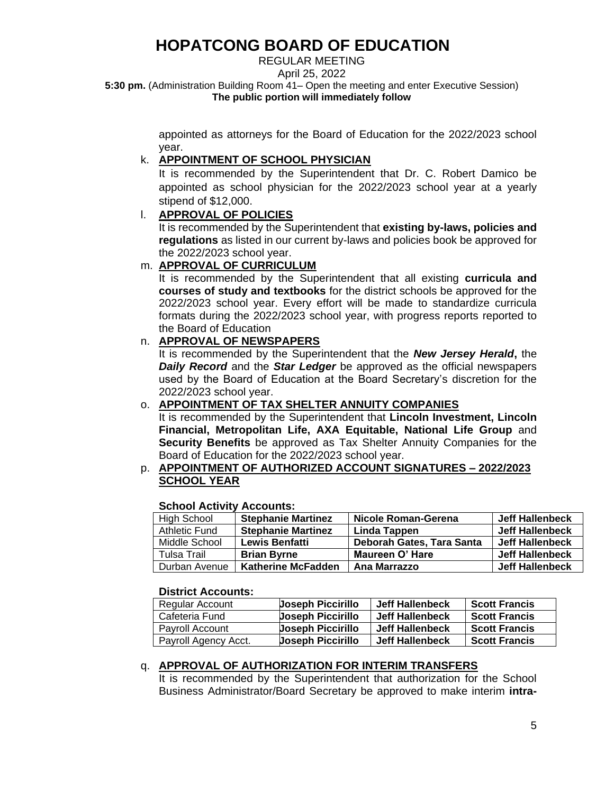REGULAR MEETING

April 25, 2022

**5:30 pm.** (Administration Building Room 41– Open the meeting and enter Executive Session) **The public portion will immediately follow**

> appointed as attorneys for the Board of Education for the 2022/2023 school year.

## k. **APPOINTMENT OF SCHOOL PHYSICIAN**

It is recommended by the Superintendent that Dr. C. Robert Damico be appointed as school physician for the 2022/2023 school year at a yearly stipend of \$12,000.

## l. **APPROVAL OF POLICIES**

It is recommended by the Superintendent that **existing by-laws, policies and regulations** as listed in our current by-laws and policies book be approved for the 2022/2023 school year.

### m. **APPROVAL OF CURRICULUM**

It is recommended by the Superintendent that all existing **curricula and courses of study and textbooks** for the district schools be approved for the 2022/2023 school year. Every effort will be made to standardize curricula formats during the 2022/2023 school year, with progress reports reported to the Board of Education

### n. **APPROVAL OF NEWSPAPERS**

It is recommended by the Superintendent that the *New Jersey Herald***,** the *Daily Record* and the *Star Ledger* be approved as the official newspapers used by the Board of Education at the Board Secretary's discretion for the 2022/2023 school year.

### o. **APPOINTMENT OF TAX SHELTER ANNUITY COMPANIES**

It is recommended by the Superintendent that **Lincoln Investment, Lincoln Financial, Metropolitan Life, AXA Equitable, National Life Group** and **Security Benefits** be approved as Tax Shelter Annuity Companies for the Board of Education for the 2022/2023 school year.

### p. **APPOINTMENT OF AUTHORIZED ACCOUNT SIGNATURES – 2022/2023 SCHOOL YEAR**

### **School Activity Accounts:**

| High School   | <b>Stephanie Martinez</b> | Nicole Roman-Gerena       | Jeff Hallenbeck |
|---------------|---------------------------|---------------------------|-----------------|
| Athletic Fund | <b>Stephanie Martinez</b> | <b>Linda Tappen</b>       | Jeff Hallenbeck |
| Middle School | Lewis Benfatti            | Deborah Gates, Tara Santa | Jeff Hallenbeck |
| Tulsa Trail   | <b>Brian Byrne</b>        | Maureen O' Hare           | Jeff Hallenbeck |
| Durban Avenue | <b>Katherine McFadden</b> | Ana Marrazzo              | Jeff Hallenbeck |

### **District Accounts:**

| Regular Account        | <b>Joseph Piccirillo</b> | Jeff Hallenbeck | <b>Scott Francis</b> |
|------------------------|--------------------------|-----------------|----------------------|
| Cafeteria Fund         | <b>Uoseph Piccirillo</b> | Jeff Hallenbeck | <b>Scott Francis</b> |
| <b>Pavroll Account</b> | <b>Joseph Piccirillo</b> | Jeff Hallenbeck | <b>Scott Francis</b> |
| Payroll Agency Acct.   | <b>Joseph Piccirillo</b> | Jeff Hallenbeck | <b>Scott Francis</b> |

### q. **APPROVAL OF AUTHORIZATION FOR INTERIM TRANSFERS**

It is recommended by the Superintendent that authorization for the School Business Administrator/Board Secretary be approved to make interim **intra-**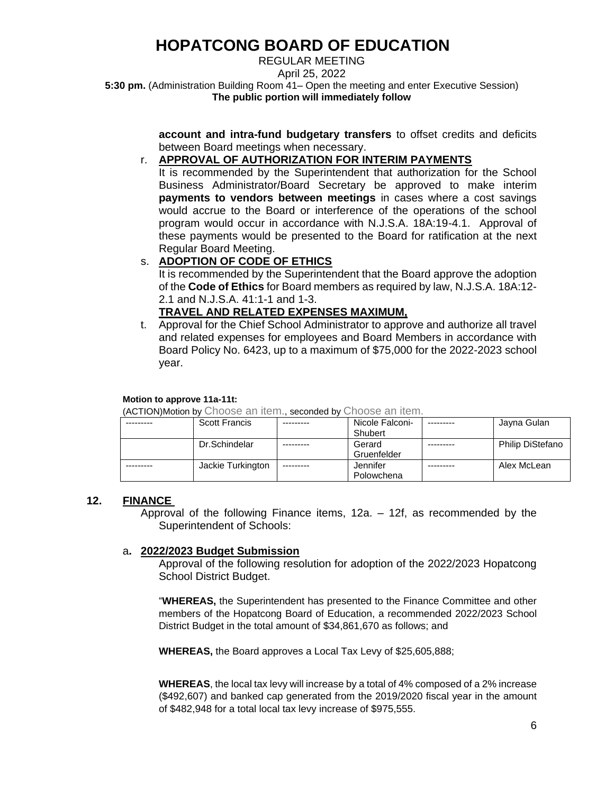REGULAR MEETING April 25, 2022 **5:30 pm.** (Administration Building Room 41– Open the meeting and enter Executive Session) **The public portion will immediately follow**

> **account and intra-fund budgetary transfers** to offset credits and deficits between Board meetings when necessary.

### r. **APPROVAL OF AUTHORIZATION FOR INTERIM PAYMENTS**

It is recommended by the Superintendent that authorization for the School Business Administrator/Board Secretary be approved to make interim **payments to vendors between meetings** in cases where a cost savings would accrue to the Board or interference of the operations of the school program would occur in accordance with N.J.S.A. 18A:19-4.1. Approval of these payments would be presented to the Board for ratification at the next Regular Board Meeting.

- s. **ADOPTION OF CODE OF ETHICS** It is recommended by the Superintendent that the Board approve the adoption of the **Code of Ethics** for Board members as required by law, N.J.S.A. 18A:12- 2.1 and N.J.S.A. 41:1-1 and 1-3. **TRAVEL AND RELATED EXPENSES MAXIMUM,**
- t. Approval for the Chief School Administrator to approve and authorize all travel and related expenses for employees and Board Members in accordance with Board Policy No. 6423, up to a maximum of \$75,000 for the 2022-2023 school year.

#### **Motion to approve 11a-11t:**

(ACTION)Motion by Choose an item., seconded by Choose an item.

| <b>Scott Francis</b> | Nicole Falconi- | Jayna Gulan             |
|----------------------|-----------------|-------------------------|
|                      | Shubert         |                         |
| Dr.Schindelar        | Gerard          | <b>Philip DiStefano</b> |
|                      | Gruenfelder     |                         |
| Jackie Turkington    | Jennifer        | Alex McLean             |
|                      | Polowchena      |                         |

### **12. FINANCE**

Approval of the following Finance items, 12a. – 12f, as recommended by the Superintendent of Schools:

### a**. 2022/2023 Budget Submission**

Approval of the following resolution for adoption of the 2022/2023 Hopatcong School District Budget.

"**WHEREAS,** the Superintendent has presented to the Finance Committee and other members of the Hopatcong Board of Education, a recommended 2022/2023 School District Budget in the total amount of \$34,861,670 as follows; and

**WHEREAS,** the Board approves a Local Tax Levy of \$25,605,888;

**WHEREAS**, the local tax levy will increase by a total of 4% composed of a 2% increase (\$492,607) and banked cap generated from the 2019/2020 fiscal year in the amount of \$482,948 for a total local tax levy increase of \$975,555.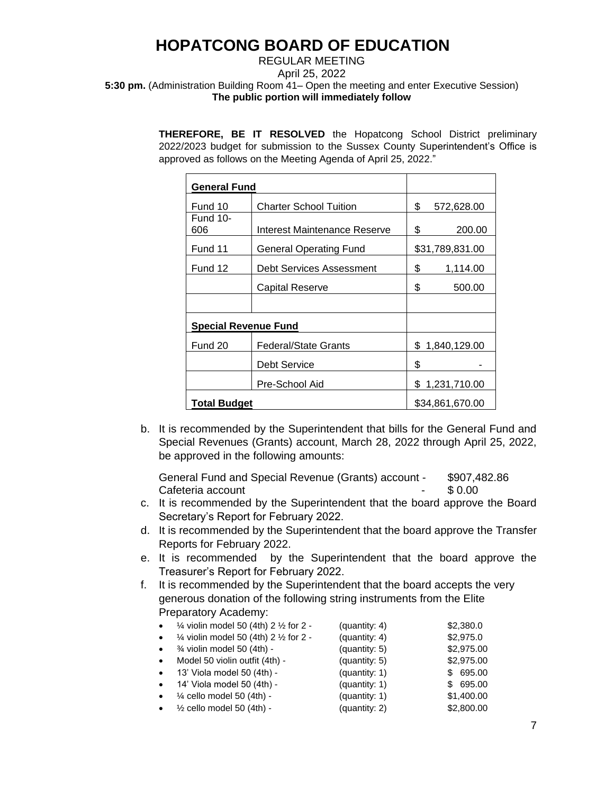### REGULAR MEETING April 25, 2022 **5:30 pm.** (Administration Building Room 41– Open the meeting and enter Executive Session) **The public portion will immediately follow**

**THEREFORE, BE IT RESOLVED** the Hopatcong School District preliminary 2022/2023 budget for submission to the Sussex County Superintendent's Office is approved as follows on the Meeting Agenda of April 25, 2022."

| <b>General Fund</b>         |                               |    |                 |
|-----------------------------|-------------------------------|----|-----------------|
| Fund 10                     | <b>Charter School Tuition</b> | \$ | 572,628.00      |
| <b>Fund 10-</b><br>606      | Interest Maintenance Reserve  | \$ | 200.00          |
| Fund 11                     | General Operating Fund        |    | \$31,789,831.00 |
| Fund 12                     | Debt Services Assessment      | \$ | 1,114.00        |
|                             | Capital Reserve               | \$ | 500.00          |
|                             |                               |    |                 |
| <b>Special Revenue Fund</b> |                               |    |                 |
| Fund 20                     | <b>Federal/State Grants</b>   |    | \$1,840,129.00  |
|                             | Debt Service                  | \$ |                 |
|                             | Pre-School Aid                |    | \$1,231,710.00  |
| <b>Total Budget</b>         |                               |    | \$34,861,670.00 |

b. It is recommended by the Superintendent that bills for the General Fund and Special Revenues (Grants) account, March 28, 2022 through April 25, 2022, be approved in the following amounts:

General Fund and Special Revenue (Grants) account - \$907,482.86 Cafeteria account  $$0.00$ 

- c. It is recommended by the Superintendent that the board approve the Board Secretary's Report for February 2022.
- d. It is recommended by the Superintendent that the board approve the Transfer Reports for February 2022.
- e. It is recommended by the Superintendent that the board approve the Treasurer's Report for February 2022.
- f. It is recommended by the Superintendent that the board accepts the very generous donation of the following string instruments from the Elite Preparatory Academy:

| $\bullet$ | $\frac{1}{4}$ violin model 50 (4th) 2 $\frac{1}{2}$ for 2 - | (quantity: 4) | \$2,380.0     |
|-----------|-------------------------------------------------------------|---------------|---------------|
| $\bullet$ | $\frac{1}{4}$ violin model 50 (4th) 2 $\frac{1}{2}$ for 2 - | (quantity: 4) | \$2,975.0     |
| $\bullet$ | 3⁄4 violin model 50 (4th) -                                 | (quantity: 5) | \$2,975.00    |
| $\bullet$ | Model 50 violin outfit (4th) -                              | (quantity: 5) | \$2,975.00    |
| $\bullet$ | 13' Viola model 50 (4th) -                                  | (quantity: 1) | 695.00<br>SS. |
| $\bullet$ | 14' Viola model 50 (4th) -                                  | (quantity: 1) | \$ 695.00     |
| $\bullet$ | 1⁄4 cello model 50 (4th) -                                  | (quantity: 1) | \$1,400.00    |
| $\bullet$ | $\frac{1}{2}$ cello model 50 (4th) -                        | (quantity: 2) | \$2,800.00    |
|           |                                                             |               |               |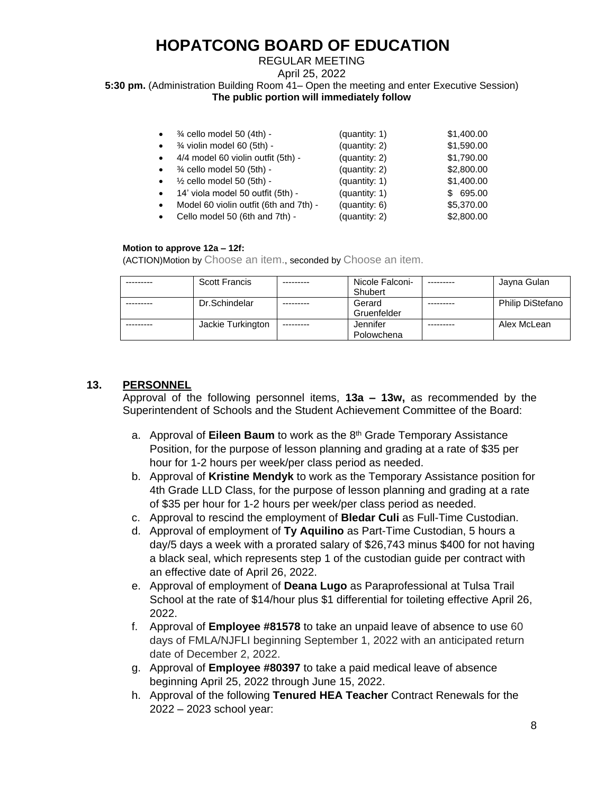REGULAR MEETING

April 25, 2022

**5:30 pm.** (Administration Building Room 41– Open the meeting and enter Executive Session) **The public portion will immediately follow**

| $\bullet$ | 3⁄4 cello model 50 (4th) -             | (quantity: 1) | \$1,400.00 |
|-----------|----------------------------------------|---------------|------------|
| $\bullet$ | 3⁄4 violin model 60 (5th) -            | (quantity: 2) | \$1,590.00 |
| $\bullet$ | 4/4 model 60 violin outfit (5th) -     | (quantity: 2) | \$1,790.00 |
| $\bullet$ | 3⁄4 cello model 50 (5th) -             | (quantity: 2) | \$2,800.00 |
| $\bullet$ | $\frac{1}{2}$ cello model 50 (5th) -   | (quantity: 1) | \$1,400.00 |
| $\bullet$ | 14' viola model 50 outfit (5th) -      | (quantity: 1) | \$695.00   |
| $\bullet$ | Model 60 violin outfit (6th and 7th) - | (quantity: 6) | \$5,370.00 |
| $\bullet$ | Cello model 50 (6th and 7th) -         | (quantity: 2) | \$2,800.00 |

#### **Motion to approve 12a – 12f:**

(ACTION)Motion by Choose an item., seconded by Choose an item.

| <b>Scott Francis</b> | Nicole Falconi-<br>Shubert | --------- | Jayna Gulan      |
|----------------------|----------------------------|-----------|------------------|
| Dr.Schindelar        | Gerard<br>Gruenfelder      |           | Philip DiStefano |
| Jackie Turkington    | Jennifer<br>Polowchena     |           | Alex McLean      |

### **13. PERSONNEL**

Approval of the following personnel items, **13a – 13w,** as recommended by the Superintendent of Schools and the Student Achievement Committee of the Board:

- a. Approval of **Eileen Baum** to work as the 8<sup>th</sup> Grade Temporary Assistance Position, for the purpose of lesson planning and grading at a rate of \$35 per hour for 1-2 hours per week/per class period as needed.
- b. Approval of **Kristine Mendyk** to work as the Temporary Assistance position for 4th Grade LLD Class, for the purpose of lesson planning and grading at a rate of \$35 per hour for 1-2 hours per week/per class period as needed.
- c. Approval to rescind the employment of **Bledar Culi** as Full-Time Custodian.
- d. Approval of employment of **Ty Aquilino** as Part-Time Custodian, 5 hours a day/5 days a week with a prorated salary of \$26,743 minus \$400 for not having a black seal, which represents step 1 of the custodian guide per contract with an effective date of April 26, 2022.
- e. Approval of employment of **Deana Lugo** as Paraprofessional at Tulsa Trail School at the rate of \$14/hour plus \$1 differential for toileting effective April 26, 2022.
- f. Approval of **Employee #81578** to take an unpaid leave of absence to use 60 days of FMLA/NJFLI beginning September 1, 2022 with an anticipated return date of December 2, 2022.
- g. Approval of **Employee #80397** to take a paid medical leave of absence beginning April 25, 2022 through June 15, 2022.
- h. Approval of the following **Tenured HEA Teacher** Contract Renewals for the 2022 – 2023 school year: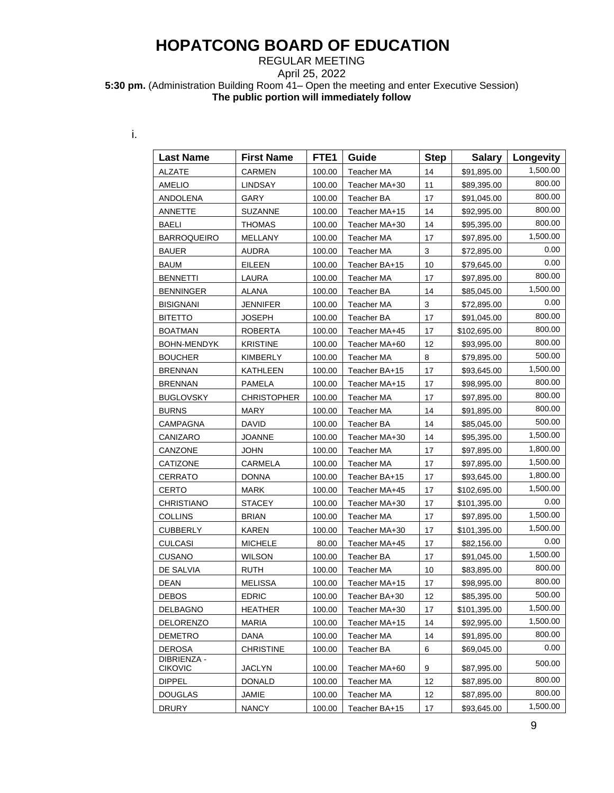REGULAR MEETING

April 25, 2022

**5:30 pm.** (Administration Building Room 41– Open the meeting and enter Executive Session) **The public portion will immediately follow**

| <b>Last Name</b>              | <b>First Name</b>  | FTE <sub>1</sub> | Guide             | <b>Step</b> | <b>Salary</b> | Longevity |
|-------------------------------|--------------------|------------------|-------------------|-------------|---------------|-----------|
| <b>ALZATE</b>                 | CARMEN             | 100.00           | Teacher MA        | 14          | \$91,895.00   | 1,500.00  |
| <b>AMELIO</b>                 | LINDSAY            | 100.00           | Teacher MA+30     | 11          | \$89,395.00   | 800.00    |
| ANDOLENA                      | GARY               | 100.00           | <b>Teacher BA</b> | 17          | \$91,045.00   | 800.00    |
| <b>ANNETTE</b>                | <b>SUZANNE</b>     | 100.00           | Teacher MA+15     | 14          | \$92,995.00   | 800.00    |
| BAELI                         | <b>THOMAS</b>      | 100.00           | Teacher MA+30     | 14          | \$95,395.00   | 800.00    |
| <b>BARROQUEIRO</b>            | MELLANY            | 100.00           | <b>Teacher MA</b> | 17          | \$97,895.00   | 1,500.00  |
| <b>BAUER</b>                  | <b>AUDRA</b>       | 100.00           | Teacher MA        | 3           | \$72,895.00   | 0.00      |
| <b>BAUM</b>                   | EILEEN             | 100.00           | Teacher BA+15     | 10          | \$79,645.00   | 0.00      |
| <b>BENNETTI</b>               | LAURA              | 100.00           | <b>Teacher MA</b> | 17          | \$97,895.00   | 800.00    |
| <b>BENNINGER</b>              | ALANA              | 100.00           | Teacher BA        | 14          | \$85,045.00   | 1,500.00  |
| <b>BISIGNANI</b>              | JENNIFER           | 100.00           | Teacher MA        | 3           | \$72,895.00   | 0.00      |
| <b>BITETTO</b>                | JOSEPH             | 100.00           | <b>Teacher BA</b> | 17          | \$91,045.00   | 800.00    |
| <b>BOATMAN</b>                | <b>ROBERTA</b>     | 100.00           | Teacher MA+45     | 17          | \$102,695.00  | 800.00    |
| <b>BOHN-MENDYK</b>            | <b>KRISTINE</b>    | 100.00           | Teacher MA+60     | 12          | \$93,995.00   | 800.00    |
| <b>BOUCHER</b>                | KIMBERLY           | 100.00           | Teacher MA        | 8           | \$79,895.00   | 500.00    |
| <b>BRENNAN</b>                | <b>KATHLEEN</b>    | 100.00           | Teacher BA+15     | 17          | \$93,645.00   | 1,500.00  |
| <b>BRENNAN</b>                | <b>PAMELA</b>      | 100.00           | Teacher MA+15     | 17          | \$98,995.00   | 800.00    |
| <b>BUGLOVSKY</b>              | <b>CHRISTOPHER</b> | 100.00           | <b>Teacher MA</b> | 17          | \$97,895.00   | 800.00    |
| <b>BURNS</b>                  | <b>MARY</b>        | 100.00           | Teacher MA        | 14          | \$91,895.00   | 800.00    |
| CAMPAGNA                      | <b>DAVID</b>       | 100.00           | Teacher BA        | 14          | \$85,045.00   | 500.00    |
| CANIZARO                      | JOANNE             | 100.00           | Teacher MA+30     | 14          | \$95,395.00   | 1,500.00  |
| CANZONE                       | JOHN               | 100.00           | <b>Teacher MA</b> | 17          | \$97,895.00   | 1,800.00  |
| <b>CATIZONE</b>               | CARMELA            | 100.00           | <b>Teacher MA</b> | 17          | \$97,895.00   | 1,500.00  |
| <b>CERRATO</b>                | <b>DONNA</b>       | 100.00           | Teacher BA+15     | 17          | \$93,645.00   | 1,800.00  |
| CERTO                         | MARK               | 100.00           | Teacher MA+45     | 17          | \$102,695.00  | 1,500.00  |
| <b>CHRISTIANO</b>             | <b>STACEY</b>      | 100.00           | Teacher MA+30     | 17          | \$101,395.00  | 0.00      |
| <b>COLLINS</b>                | <b>BRIAN</b>       | 100.00           | <b>Teacher MA</b> | 17          | \$97,895.00   | 1,500.00  |
| <b>CUBBERLY</b>               | <b>KAREN</b>       | 100.00           | Teacher MA+30     | 17          | \$101,395.00  | 1,500.00  |
| <b>CULCASI</b>                | <b>MICHELE</b>     | 80.00            | Teacher MA+45     | 17          | \$82,156.00   | 0.00      |
| <b>CUSANO</b>                 | WILSON             | 100.00           | Teacher BA        | 17          | \$91,045.00   | 1,500.00  |
| DE SALVIA                     | <b>RUTH</b>        | 100.00           | Teacher MA        | 10          | \$83,895.00   | 800.00    |
| <b>DEAN</b>                   | <b>MELISSA</b>     | 100.00           | Teacher MA+15     | 17          | \$98,995.00   | 800.00    |
| <b>DEBOS</b>                  | <b>EDRIC</b>       | 100.00           | Teacher BA+30     | 12          | \$85,395.00   | 500.00    |
| DELBAGNO                      | <b>HEATHER</b>     | 100.00           | Teacher MA+30     | 17          | \$101,395.00  | 1,500.00  |
| <b>DELORENZO</b>              | <b>MARIA</b>       | 100.00           | Teacher MA+15     | 14          | \$92,995.00   | 1,500.00  |
| <b>DEMETRO</b>                | <b>DANA</b>        | 100.00           | <b>Teacher MA</b> | 14          | \$91,895.00   | 800.00    |
| <b>DEROSA</b>                 | <b>CHRISTINE</b>   | 100.00           | Teacher BA        | 6           | \$69,045.00   | 0.00      |
| DIBRIENZA -<br><b>CIKOVIC</b> | <b>JACLYN</b>      | 100.00           | Teacher MA+60     | 9           | \$87,995.00   | 500.00    |
| <b>DIPPEL</b>                 | <b>DONALD</b>      | 100.00           | Teacher MA        | 12          | \$87,895.00   | 800.00    |
| <b>DOUGLAS</b>                | <b>JAMIE</b>       | 100.00           | Teacher MA        | 12          | \$87,895.00   | 800.00    |
| <b>DRURY</b>                  | <b>NANCY</b>       | 100.00           | Teacher BA+15     | 17          | \$93,645.00   | 1,500.00  |

i.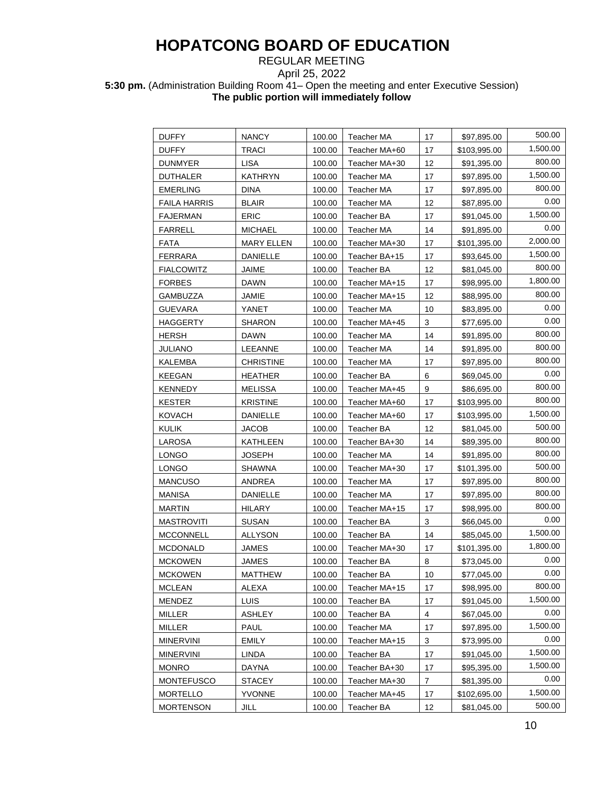### REGULAR MEETING April 25, 2022 **5:30 pm.** (Administration Building Room 41– Open the meeting and enter Executive Session) **The public portion will immediately follow**

| <b>DUFFY</b>        | <b>NANCY</b>      | 100.00 | <b>Teacher MA</b> | 17 | \$97,895.00  | 500.00   |
|---------------------|-------------------|--------|-------------------|----|--------------|----------|
| <b>DUFFY</b>        | TRACI             | 100.00 | Teacher MA+60     | 17 | \$103,995.00 | 1,500.00 |
| <b>DUNMYER</b>      | <b>LISA</b>       | 100.00 | Teacher MA+30     | 12 | \$91,395.00  | 800.00   |
| <b>DUTHALER</b>     | <b>KATHRYN</b>    | 100.00 | Teacher MA        | 17 | \$97,895.00  | 1,500.00 |
| <b>EMERLING</b>     | <b>DINA</b>       | 100.00 | <b>Teacher MA</b> | 17 | \$97,895.00  | 800.00   |
| <b>FAILA HARRIS</b> | <b>BLAIR</b>      | 100.00 | Teacher MA        | 12 | \$87,895.00  | 0.00     |
| <b>FAJERMAN</b>     | <b>ERIC</b>       | 100.00 | Teacher BA        | 17 | \$91,045.00  | 1,500.00 |
| <b>FARRELL</b>      | <b>MICHAEL</b>    | 100.00 | <b>Teacher MA</b> | 14 | \$91,895.00  | 0.00     |
| <b>FATA</b>         | <b>MARY ELLEN</b> | 100.00 | Teacher MA+30     | 17 | \$101,395.00 | 2,000.00 |
| <b>FERRARA</b>      | <b>DANIELLE</b>   | 100.00 | Teacher BA+15     | 17 | \$93,645.00  | 1,500.00 |
| <b>FIALCOWITZ</b>   | JAIME             | 100.00 | Teacher BA        | 12 | \$81,045.00  | 800.00   |
| <b>FORBES</b>       | <b>DAWN</b>       | 100.00 | Teacher MA+15     | 17 | \$98,995.00  | 1,800.00 |
| GAMBUZZA            | JAMIE             | 100.00 | Teacher MA+15     | 12 | \$88,995.00  | 800.00   |
| <b>GUEVARA</b>      | YANET             | 100.00 | Teacher MA        | 10 | \$83,895.00  | 0.00     |
| <b>HAGGERTY</b>     | <b>SHARON</b>     | 100.00 | Teacher MA+45     | 3  | \$77,695.00  | 0.00     |
| <b>HERSH</b>        | <b>DAWN</b>       | 100.00 | <b>Teacher MA</b> | 14 | \$91,895.00  | 800.00   |
| JULIANO             | LEEANNE           | 100.00 | Teacher MA        | 14 | \$91,895.00  | 800.00   |
| KALEMBA             | <b>CHRISTINE</b>  | 100.00 | Teacher MA        | 17 | \$97,895.00  | 800.00   |
| <b>KEEGAN</b>       | <b>HEATHER</b>    | 100.00 | Teacher BA        | 6  | \$69,045.00  | 0.00     |
| <b>KENNEDY</b>      | <b>MELISSA</b>    | 100.00 | Teacher MA+45     | 9  | \$86,695.00  | 800.00   |
| KESTER              | <b>KRISTINE</b>   | 100.00 | Teacher MA+60     | 17 | \$103,995.00 | 800.00   |
| KOVACH              | DANIELLE          | 100.00 | Teacher MA+60     | 17 | \$103,995.00 | 1,500.00 |
| <b>KULIK</b>        | <b>JACOB</b>      | 100.00 | <b>Teacher BA</b> | 12 | \$81,045.00  | 500.00   |
| LAROSA              | KATHLEEN          | 100.00 | Teacher BA+30     | 14 | \$89,395.00  | 800.00   |
| <b>LONGO</b>        | <b>JOSEPH</b>     | 100.00 | Teacher MA        | 14 | \$91,895.00  | 800.00   |
| <b>LONGO</b>        | <b>SHAWNA</b>     | 100.00 | Teacher MA+30     | 17 | \$101,395.00 | 500.00   |
| <b>MANCUSO</b>      | ANDREA            | 100.00 | Teacher MA        | 17 | \$97,895.00  | 800.00   |
| MANISA              | DANIELLE          | 100.00 | Teacher MA        | 17 | \$97,895.00  | 800.00   |
| <b>MARTIN</b>       | <b>HILARY</b>     | 100.00 | Teacher MA+15     | 17 | \$98,995.00  | 800.00   |
| MASTROVITI          | <b>SUSAN</b>      | 100.00 | Teacher BA        | 3  | \$66,045.00  | 0.00     |
| <b>MCCONNELL</b>    | <b>ALLYSON</b>    | 100.00 | Teacher BA        | 14 | \$85,045.00  | 1,500.00 |
| <b>MCDONALD</b>     | <b>JAMES</b>      | 100.00 | Teacher MA+30     | 17 | \$101,395.00 | 1,800.00 |
| <b>MCKOWEN</b>      | <b>JAMES</b>      | 100.00 | Teacher BA        | 8  | \$73,045.00  | 0.00     |
| <b>MCKOWEN</b>      | <b>MATTHEW</b>    | 100.00 | Teacher BA        | 10 | \$77,045.00  | 0.00     |
| <b>MCLEAN</b>       | ALEXA             | 100.00 | Teacher MA+15     | 17 | \$98,995.00  | 800.00   |
| <b>MENDEZ</b>       | <b>LUIS</b>       | 100.00 | Teacher BA        | 17 | \$91,045.00  | 1,500.00 |
| <b>MILLER</b>       | ASHLEY            | 100.00 | Teacher BA        | 4  | \$67,045.00  | 0.00     |
| MILLER              | PAUL              | 100.00 | Teacher MA        | 17 | \$97,895.00  | 1,500.00 |
| <b>MINERVINI</b>    | <b>EMILY</b>      | 100.00 | Teacher MA+15     | 3  | \$73,995.00  | 0.00     |
| <b>MINERVINI</b>    | LINDA             | 100.00 | Teacher BA        | 17 | \$91,045.00  | 1,500.00 |
| <b>MONRO</b>        | <b>DAYNA</b>      | 100.00 | Teacher BA+30     | 17 | \$95,395.00  | 1,500.00 |
| <b>MONTEFUSCO</b>   | <b>STACEY</b>     | 100.00 | Teacher MA+30     | 7  | \$81,395.00  | 0.00     |
| <b>MORTELLO</b>     | <b>YVONNE</b>     | 100.00 | Teacher MA+45     | 17 | \$102,695.00 | 1,500.00 |
| <b>MORTENSON</b>    | JILL              | 100.00 | Teacher BA        | 12 | \$81,045.00  | 500.00   |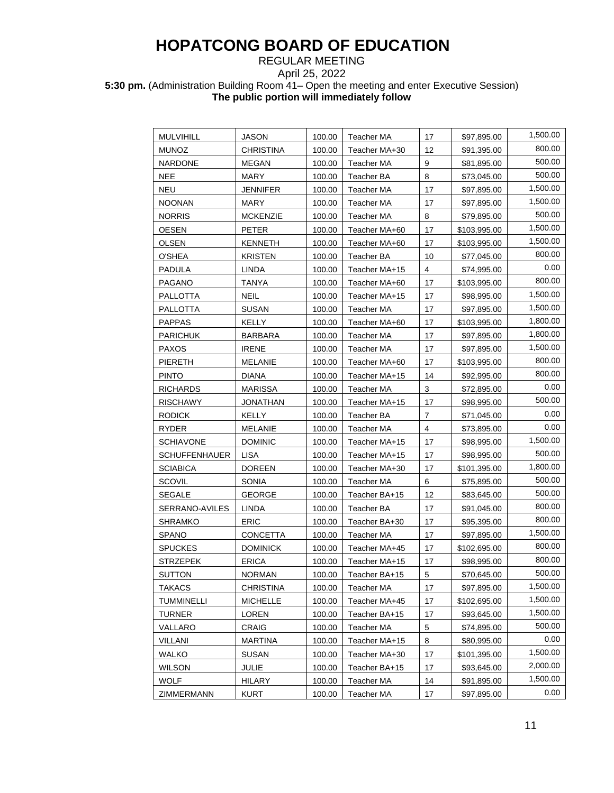### REGULAR MEETING April 25, 2022 **5:30 pm.** (Administration Building Room 41– Open the meeting and enter Executive Session) **The public portion will immediately follow**

| MULVIHILL            | <b>JASON</b>     | 100.00 | Teacher MA        | 17 | \$97,895.00  | 1,500.00 |
|----------------------|------------------|--------|-------------------|----|--------------|----------|
| <b>MUNOZ</b>         | <b>CHRISTINA</b> | 100.00 | Teacher MA+30     | 12 | \$91,395.00  | 800.00   |
| <b>NARDONE</b>       | <b>MEGAN</b>     | 100.00 | Teacher MA        | 9  | \$81,895.00  | 500.00   |
| <b>NEE</b>           | MARY             | 100.00 | Teacher BA        | 8  | \$73,045.00  | 500.00   |
| <b>NEU</b>           | JENNIFER         | 100.00 | Teacher MA        | 17 | \$97,895.00  | 1,500.00 |
| <b>NOONAN</b>        | <b>MARY</b>      | 100.00 | Teacher MA        | 17 | \$97,895.00  | 1,500.00 |
| <b>NORRIS</b>        | <b>MCKENZIE</b>  | 100.00 | Teacher MA        | 8  | \$79,895.00  | 500.00   |
| <b>OESEN</b>         | <b>PETER</b>     | 100.00 | Teacher MA+60     | 17 | \$103,995.00 | 1,500.00 |
| <b>OLSEN</b>         | <b>KENNETH</b>   | 100.00 | Teacher MA+60     | 17 | \$103,995.00 | 1,500.00 |
| O'SHEA               | <b>KRISTEN</b>   | 100.00 | Teacher BA        | 10 | \$77,045.00  | 800.00   |
| <b>PADULA</b>        | LINDA            | 100.00 | Teacher MA+15     | 4  | \$74,995.00  | 0.00     |
| <b>PAGANO</b>        | TANYA            | 100.00 | Teacher MA+60     | 17 | \$103,995.00 | 800.00   |
| PALLOTTA             | NEIL             | 100.00 | Teacher MA+15     | 17 | \$98,995.00  | 1,500.00 |
| PALLOTTA             | <b>SUSAN</b>     | 100.00 | Teacher MA        | 17 | \$97,895.00  | 1,500.00 |
| <b>PAPPAS</b>        | <b>KELLY</b>     | 100.00 | Teacher MA+60     | 17 | \$103,995.00 | 1,800.00 |
| <b>PARICHUK</b>      | <b>BARBARA</b>   | 100.00 | <b>Teacher MA</b> | 17 | \$97,895.00  | 1,800.00 |
| <b>PAXOS</b>         | <b>IRENE</b>     | 100.00 | Teacher MA        | 17 | \$97,895.00  | 1,500.00 |
| PIERETH              | <b>MELANIE</b>   | 100.00 | Teacher MA+60     | 17 | \$103,995.00 | 800.00   |
| <b>PINTO</b>         | <b>DIANA</b>     | 100.00 | Teacher MA+15     | 14 | \$92,995.00  | 800.00   |
| <b>RICHARDS</b>      | <b>MARISSA</b>   | 100.00 | <b>Teacher MA</b> | 3  | \$72,895.00  | 0.00     |
| <b>RISCHAWY</b>      | JONATHAN         | 100.00 | Teacher MA+15     | 17 | \$98,995.00  | 500.00   |
| <b>RODICK</b>        | KELLY            | 100.00 | Teacher BA        | 7  | \$71,045.00  | 0.00     |
| <b>RYDER</b>         | <b>MELANIE</b>   | 100.00 | <b>Teacher MA</b> | 4  | \$73,895.00  | 0.00     |
| <b>SCHIAVONE</b>     | <b>DOMINIC</b>   | 100.00 | Teacher MA+15     | 17 | \$98,995.00  | 1,500.00 |
| <b>SCHUFFENHAUER</b> | <b>LISA</b>      | 100.00 | Teacher MA+15     | 17 | \$98,995.00  | 500.00   |
| <b>SCIABICA</b>      | <b>DOREEN</b>    | 100.00 | Teacher MA+30     | 17 | \$101,395.00 | 1,800.00 |
| SCOVIL               | <b>SONIA</b>     | 100.00 | Teacher MA        | 6  | \$75,895.00  | 500.00   |
| <b>SEGALE</b>        | <b>GEORGE</b>    | 100.00 | Teacher BA+15     | 12 | \$83,645.00  | 500.00   |
| SERRANO-AVILES       | LINDA            | 100.00 | Teacher BA        | 17 | \$91,045.00  | 800.00   |
| <b>SHRAMKO</b>       | <b>ERIC</b>      | 100.00 | Teacher BA+30     | 17 | \$95,395.00  | 800.00   |
| <b>SPANO</b>         | CONCETTA         | 100.00 | Teacher MA        | 17 | \$97,895.00  | 1,500.00 |
| <b>SPUCKES</b>       | <b>DOMINICK</b>  | 100.00 | Teacher MA+45     | 17 | \$102,695.00 | 800.00   |
| <b>STRZEPEK</b>      | <b>ERICA</b>     | 100.00 | Teacher MA+15     | 17 | \$98,995.00  | 800.00   |
| <b>SUTTON</b>        | <b>NORMAN</b>    | 100.00 | Teacher BA+15     | 5  | \$70,645.00  | 500.00   |
| <b>TAKACS</b>        | CHRISTINA        | 100.00 | Teacher MA        | 17 | \$97,895.00  | 1,500.00 |
| <b>TUMMINELLI</b>    | <b>MICHELLE</b>  | 100.00 | Teacher MA+45     | 17 | \$102,695.00 | 1,500.00 |
| <b>TURNER</b>        | LOREN            | 100.00 | Teacher BA+15     | 17 | \$93,645.00  | 1,500.00 |
| VALLARO              | CRAIG            | 100.00 | Teacher MA        | 5  | \$74,895.00  | 500.00   |
| <b>VILLANI</b>       | <b>MARTINA</b>   | 100.00 | Teacher MA+15     | 8  | \$80,995.00  | 0.00     |
| <b>WALKO</b>         | <b>SUSAN</b>     | 100.00 | Teacher MA+30     | 17 | \$101,395.00 | 1,500.00 |
| <b>WILSON</b>        | <b>JULIE</b>     | 100.00 | Teacher BA+15     | 17 | \$93,645.00  | 2,000.00 |
| <b>WOLF</b>          | <b>HILARY</b>    | 100.00 | Teacher MA        | 14 | \$91,895.00  | 1,500.00 |
| ZIMMERMANN           | <b>KURT</b>      | 100.00 | Teacher MA        | 17 | \$97,895.00  | 0.00     |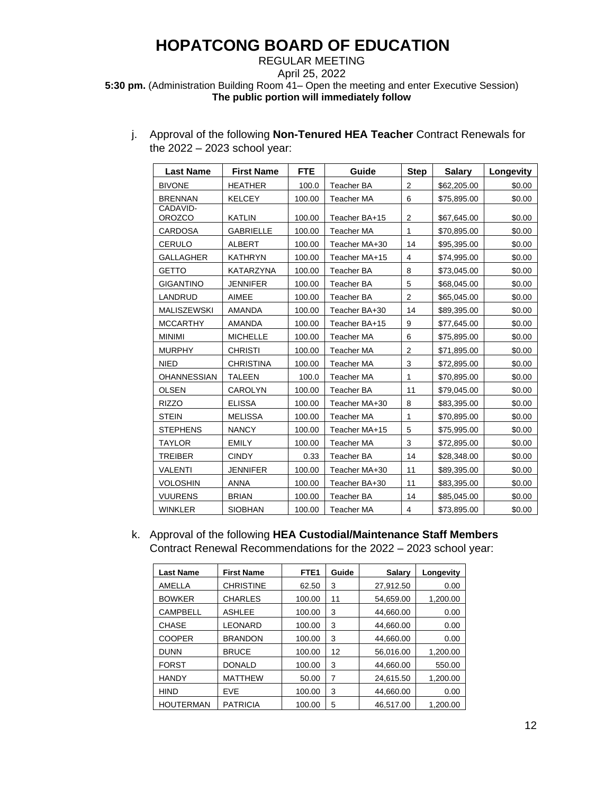#### REGULAR MEETING April 25, 2022 **5:30 pm.** (Administration Building Room 41– Open the meeting and enter Executive Session) **The public portion will immediately follow**

j. Approval of the following **Non-Tenured HEA Teacher** Contract Renewals for the 2022 – 2023 school year:

| <b>Last Name</b>          | <b>First Name</b> | <b>FTE</b> | Guide             | <b>Step</b>    | <b>Salary</b> | Longevity |
|---------------------------|-------------------|------------|-------------------|----------------|---------------|-----------|
| <b>BIVONE</b>             | <b>HEATHER</b>    | 100.0      | Teacher BA        | $\overline{2}$ | \$62,205.00   | \$0.00    |
| <b>BRENNAN</b>            | <b>KELCEY</b>     | 100.00     | Teacher MA        | 6              | \$75,895.00   | \$0.00    |
| CADAVID-<br><b>OROZCO</b> | <b>KATLIN</b>     | 100.00     | Teacher BA+15     | 2              | \$67,645.00   | \$0.00    |
| <b>CARDOSA</b>            | <b>GABRIELLE</b>  | 100.00     | Teacher MA        | 1              | \$70.895.00   | \$0.00    |
| <b>CERULO</b>             | <b>ALBERT</b>     | 100.00     | Teacher MA+30     | 14             | \$95,395.00   | \$0.00    |
| <b>GALLAGHER</b>          | <b>KATHRYN</b>    | 100.00     | Teacher MA+15     | 4              | \$74,995.00   | \$0.00    |
| <b>GETTO</b>              | KATARZYNA         | 100.00     | Teacher BA        | 8              | \$73,045.00   | \$0.00    |
| <b>GIGANTINO</b>          | <b>JENNIFER</b>   | 100.00     | <b>Teacher BA</b> | 5              | \$68,045.00   | \$0.00    |
| LANDRUD                   | <b>AIMEE</b>      | 100.00     | Teacher BA        | $\overline{2}$ | \$65,045.00   | \$0.00    |
| <b>MALISZEWSKI</b>        | <b>AMANDA</b>     | 100.00     | Teacher BA+30     | 14             | \$89,395.00   | \$0.00    |
| <b>MCCARTHY</b>           | AMANDA            | 100.00     | Teacher BA+15     | 9              | \$77,645.00   | \$0.00    |
| <b>MINIMI</b>             | <b>MICHELLE</b>   | 100.00     | <b>Teacher MA</b> | 6              | \$75,895.00   | \$0.00    |
| <b>MURPHY</b>             | <b>CHRISTI</b>    | 100.00     | Teacher MA        | $\overline{2}$ | \$71,895.00   | \$0.00    |
| <b>NIED</b>               | <b>CHRISTINA</b>  | 100.00     | Teacher MA        | 3              | \$72,895.00   | \$0.00    |
| <b>OHANNESSIAN</b>        | <b>TALEEN</b>     | 100.0      | Teacher MA        | 1              | \$70,895.00   | \$0.00    |
| <b>OLSEN</b>              | CAROLYN           | 100.00     | <b>Teacher BA</b> | 11             | \$79,045.00   | \$0.00    |
| <b>RIZZO</b>              | <b>ELISSA</b>     | 100.00     | Teacher MA+30     | 8              | \$83,395.00   | \$0.00    |
| <b>STEIN</b>              | <b>MELISSA</b>    | 100.00     | Teacher MA        | 1              | \$70,895.00   | \$0.00    |
| <b>STEPHENS</b>           | <b>NANCY</b>      | 100.00     | Teacher MA+15     | 5              | \$75,995.00   | \$0.00    |
| <b>TAYLOR</b>             | <b>EMILY</b>      | 100.00     | Teacher MA        | 3              | \$72,895.00   | \$0.00    |
| <b>TREIBER</b>            | <b>CINDY</b>      | 0.33       | Teacher BA        | 14             | \$28,348.00   | \$0.00    |
| <b>VALENTI</b>            | <b>JENNIFER</b>   | 100.00     | Teacher MA+30     | 11             | \$89,395.00   | \$0.00    |
| <b>VOLOSHIN</b>           | <b>ANNA</b>       | 100.00     | Teacher BA+30     | 11             | \$83,395.00   | \$0.00    |
| <b>VUURENS</b>            | <b>BRIAN</b>      | 100.00     | Teacher BA        | 14             | \$85,045.00   | \$0.00    |
| <b>WINKLER</b>            | <b>SIOBHAN</b>    | 100.00     | Teacher MA        | $\overline{4}$ | \$73,895.00   | \$0.00    |

k. Approval of the following **HEA Custodial/Maintenance Staff Members**  Contract Renewal Recommendations for the 2022 – 2023 school year:

| <b>Last Name</b> | <b>First Name</b> | FTE <sub>1</sub> | Guide | <b>Salarv</b> | Longevity |
|------------------|-------------------|------------------|-------|---------------|-----------|
| AMELLA           | <b>CHRISTINE</b>  | 62.50            | 3     | 27.912.50     | 0.00      |
| <b>BOWKER</b>    | <b>CHARLES</b>    | 100.00           | 11    | 54.659.00     | 1.200.00  |
| CAMPBELL         | <b>ASHLEE</b>     | 100.00           | 3     | 44.660.00     | 0.00      |
| <b>CHASE</b>     | LEONARD           | 100.00           | 3     | 44,660.00     | 0.00      |
| <b>COOPER</b>    | <b>BRANDON</b>    | 100.00           | 3     | 44.660.00     | 0.00      |
| <b>DUNN</b>      | <b>BRUCE</b>      | 100.00           | 12    | 56.016.00     | 1.200.00  |
| <b>FORST</b>     | <b>DONALD</b>     | 100.00           | 3     | 44.660.00     | 550.00    |
| <b>HANDY</b>     | <b>MATTHEW</b>    | 50.00            | 7     | 24.615.50     | 1.200.00  |
| <b>HIND</b>      | <b>EVE</b>        | 100.00           | 3     | 44.660.00     | 0.00      |
| <b>HOUTERMAN</b> | <b>PATRICIA</b>   | 100.00           | 5     | 46.517.00     | 1.200.00  |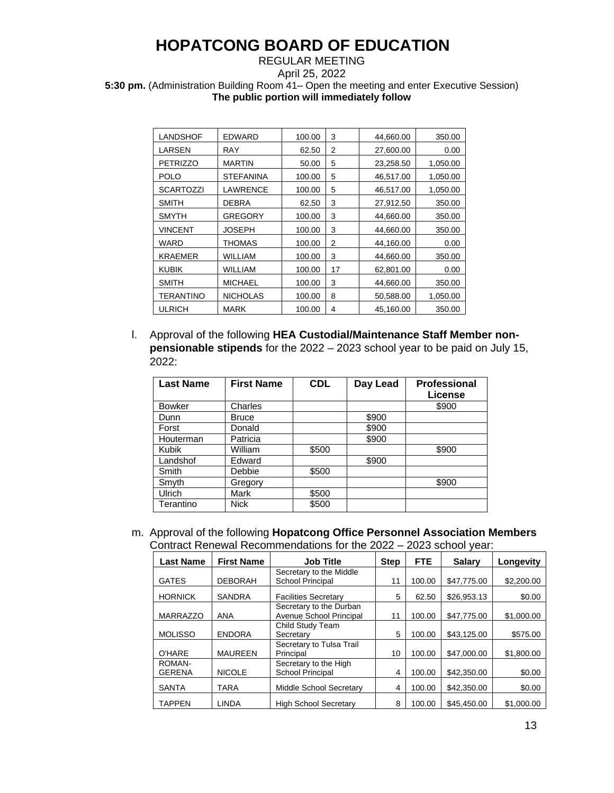REGULAR MEETING April 25, 2022 **5:30 pm.** (Administration Building Room 41– Open the meeting and enter Executive Session) **The public portion will immediately follow**

| LANDSHOF         | EDWARD           | 100.00 | 3  | 44,660.00 | 350.00   |
|------------------|------------------|--------|----|-----------|----------|
| LARSEN           | RAY              | 62.50  | 2  | 27,600.00 | 0.00     |
| <b>PETRIZZO</b>  | <b>MARTIN</b>    | 50.00  | 5  | 23,258.50 | 1,050.00 |
| POLO             | <b>STEFANINA</b> | 100.00 | 5  | 46,517.00 | 1,050.00 |
| <b>SCARTOZZI</b> | LAWRENCE         | 100.00 | 5  | 46,517.00 | 1,050.00 |
| <b>SMITH</b>     | <b>DEBRA</b>     | 62.50  | 3  | 27,912.50 | 350.00   |
| <b>SMYTH</b>     | GREGORY          | 100.00 | 3  | 44,660.00 | 350.00   |
| VINCENT          | JOSEPH           | 100.00 | 3  | 44,660.00 | 350.00   |
| WARD             | THOMAS           | 100.00 | 2  | 44,160.00 | 0.00     |
| <b>KRAEMER</b>   | WILLIAM          | 100.00 | 3  | 44,660.00 | 350.00   |
| <b>KUBIK</b>     | WILLIAM          | 100.00 | 17 | 62,801.00 | 0.00     |
| <b>SMITH</b>     | <b>MICHAEL</b>   | 100.00 | 3  | 44,660.00 | 350.00   |
| TERANTINO        | <b>NICHOLAS</b>  | 100.00 | 8  | 50,588.00 | 1,050.00 |
| ULRICH           | MARK             | 100.00 | 4  | 45,160.00 | 350.00   |

l. Approval of the following **HEA Custodial/Maintenance Staff Member nonpensionable stipends** for the 2022 – 2023 school year to be paid on July 15, 2022:

| <b>Last Name</b> | <b>First Name</b> | <b>CDL</b> | Day Lead | <b>Professional</b><br>License |
|------------------|-------------------|------------|----------|--------------------------------|
| <b>Bowker</b>    | Charles           |            |          | \$900                          |
| Dunn             | <b>Bruce</b>      |            | \$900    |                                |
| Forst            | Donald            |            | \$900    |                                |
| Houterman        | Patricia          |            | \$900    |                                |
| Kubik            | William           | \$500      |          | \$900                          |
| Landshof         | Edward            |            | \$900    |                                |
| Smith            | Debbie            | \$500      |          |                                |
| Smyth            | Gregory           |            |          | \$900                          |
| <b>Ulrich</b>    | Mark              | \$500      |          |                                |
| Terantino        | <b>Nick</b>       | \$500      |          |                                |

m. Approval of the following **Hopatcong Office Personnel Association Members**  Contract Renewal Recommendations for the 2022 – 2023 school year:

| <b>Last Name</b> | <b>First Name</b> | <b>Job Title</b>                                   | <b>Step</b> | <b>FTE</b> | <b>Salary</b> | Longevity  |
|------------------|-------------------|----------------------------------------------------|-------------|------------|---------------|------------|
|                  |                   | Secretary to the Middle                            |             |            |               |            |
| <b>GATES</b>     | <b>DEBORAH</b>    | <b>School Principal</b>                            | 11          | 100.00     | \$47.775.00   | \$2,200.00 |
| <b>HORNICK</b>   | <b>SANDRA</b>     | <b>Facilities Secretary</b>                        | 5           | 62.50      | \$26,953.13   | \$0.00     |
| <b>MARRAZZO</b>  | ANA               | Secretary to the Durban<br>Avenue School Principal | 11          | 100.00     | \$47,775.00   | \$1,000.00 |
|                  |                   | Child Study Team                                   |             |            |               |            |
| <b>MOLISSO</b>   | <b>ENDORA</b>     | Secretary                                          | 5           | 100.00     | \$43.125.00   | \$575.00   |
| O'HARE           | <b>MAUREEN</b>    | Secretary to Tulsa Trail<br>Principal              | 10          | 100.00     | \$47,000.00   | \$1,800.00 |
| ROMAN-           |                   | Secretary to the High                              |             |            |               |            |
| <b>GERENA</b>    | <b>NICOLE</b>     | <b>School Principal</b>                            | 4           | 100.00     | \$42,350.00   | \$0.00     |
| <b>SANTA</b>     | <b>TARA</b>       | Middle School Secretary                            | 4           | 100.00     | \$42,350,00   | \$0.00     |
| <b>TAPPEN</b>    | <b>LINDA</b>      | <b>High School Secretary</b>                       | 8           | 100.00     | \$45,450.00   | \$1,000.00 |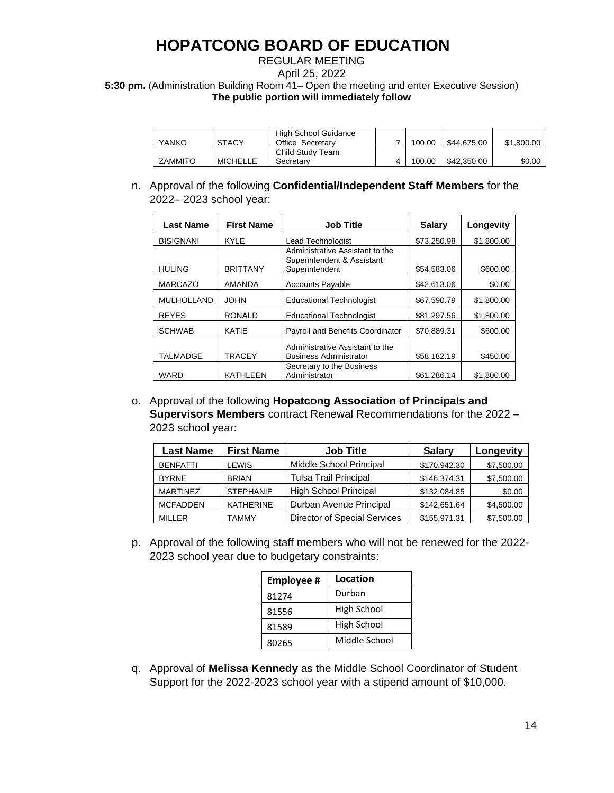### REGULAR MEETING April 25, 2022 **5:30 pm.** (Administration Building Room 41– Open the meeting and enter Executive Session) **The public portion will immediately follow**

|                |                 | <b>High School Guidance</b> |        |             |            |
|----------------|-----------------|-----------------------------|--------|-------------|------------|
| YANKO          | <b>STACY</b>    | Office Secretary            | 100.00 | \$44,675,00 | \$1,800.00 |
|                |                 | Child Study Team            |        |             |            |
| <b>ZAMMITO</b> | <b>MICHELLE</b> | Secretary                   | 100.00 | \$42,350,00 | \$0.00     |

n. Approval of the following **Confidential/Independent Staff Members** for the 2022– 2023 school year:

| <b>Last Name</b>  | <b>First Name</b> | <b>Job Title</b>                                              | Salary      | Longevity  |
|-------------------|-------------------|---------------------------------------------------------------|-------------|------------|
| <b>BISIGNANI</b>  | <b>KYLE</b>       | Lead Technologist                                             | \$73,250.98 | \$1,800.00 |
|                   |                   | Administrative Assistant to the<br>Superintendent & Assistant |             |            |
| <b>HULING</b>     | <b>BRITTANY</b>   | Superintendent                                                | \$54,583.06 | \$600.00   |
| <b>MARCAZO</b>    | AMANDA            | <b>Accounts Payable</b>                                       | \$42,613.06 | \$0.00     |
| <b>MULHOLLAND</b> | <b>JOHN</b>       | <b>Educational Technologist</b>                               | \$67,590.79 | \$1,800.00 |
| <b>REYES</b>      | <b>RONALD</b>     | <b>Educational Technologist</b>                               | \$81,297.56 | \$1,800.00 |
| <b>SCHWAB</b>     | KATIE             | <b>Payroll and Benefits Coordinator</b>                       | \$70.889.31 | \$600.00   |
|                   |                   | Administrative Assistant to the                               |             |            |
| <b>TALMADGE</b>   | <b>TRACEY</b>     | <b>Business Administrator</b>                                 | \$58,182.19 | \$450.00   |
| WARD              | <b>KATHLEEN</b>   | Secretary to the Business<br>Administrator                    | \$61.286.14 | \$1,800.00 |

o. Approval of the following **Hopatcong Association of Principals and Supervisors Members** contract Renewal Recommendations for the 2022 – 2023 school year:

| <b>Last Name</b> | <b>First Name</b> | <b>Job Title</b>             | <b>Salary</b> | Longevity  |
|------------------|-------------------|------------------------------|---------------|------------|
| <b>BENFATTI</b>  | LEWIS             | Middle School Principal      | \$170,942.30  | \$7,500.00 |
| <b>BYRNE</b>     | <b>BRIAN</b>      | <b>Tulsa Trail Principal</b> | \$146,374.31  | \$7,500.00 |
| <b>MARTINEZ</b>  | <b>STEPHANIE</b>  | <b>High School Principal</b> | \$132,084.85  | \$0.00     |
| <b>MCFADDEN</b>  | <b>KATHERINE</b>  | Durban Avenue Principal      | \$142,651.64  | \$4,500.00 |
| <b>MILLER</b>    | TAMMY             | Director of Special Services | \$155,971.31  | \$7,500.00 |

p. Approval of the following staff members who will not be renewed for the 2022- 2023 school year due to budgetary constraints:

| <b>Employee #</b> | Location      |
|-------------------|---------------|
| 81274             | Durban        |
| 81556             | High School   |
| 81589             | High School   |
| 80265             | Middle School |

q. Approval of **Melissa Kennedy** as the Middle School Coordinator of Student Support for the 2022-2023 school year with a stipend amount of \$10,000.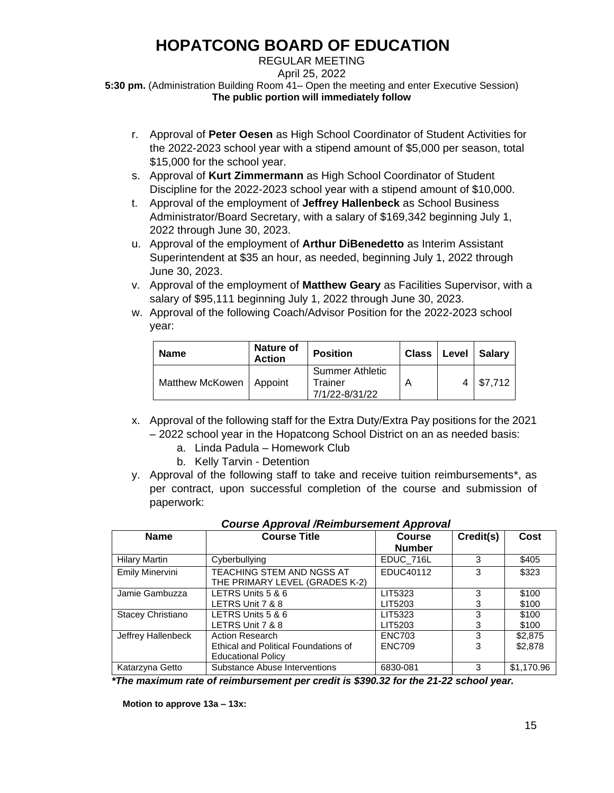#### REGULAR MEETING April 25, 2022 **5:30 pm.** (Administration Building Room 41– Open the meeting and enter Executive Session) **The public portion will immediately follow**

- r. Approval of **Peter Oesen** as High School Coordinator of Student Activities for the 2022-2023 school year with a stipend amount of \$5,000 per season, total \$15,000 for the school year.
- s. Approval of **Kurt Zimmermann** as High School Coordinator of Student Discipline for the 2022-2023 school year with a stipend amount of \$10,000.
- t. Approval of the employment of **Jeffrey Hallenbeck** as School Business Administrator/Board Secretary, with a salary of \$169,342 beginning July 1, 2022 through June 30, 2023.
- u. Approval of the employment of **Arthur DiBenedetto** as Interim Assistant Superintendent at \$35 an hour, as needed, beginning July 1, 2022 through June 30, 2023.
- v. Approval of the employment of **Matthew Geary** as Facilities Supervisor, with a salary of \$95,111 beginning July 1, 2022 through June 30, 2023.
- w. Approval of the following Coach/Advisor Position for the 2022-2023 school year:

| Name                      | Nature of<br><b>Action</b> | <b>Position</b>                                     | <b>Class</b> | Level | Salarv  |
|---------------------------|----------------------------|-----------------------------------------------------|--------------|-------|---------|
| Matthew McKowen   Appoint |                            | <b>Summer Athletic</b><br>Trainer<br>7/1/22-8/31/22 | Α            |       | \$7,712 |

- x. Approval of the following staff for the Extra Duty/Extra Pay positions for the 2021 – 2022 school year in the Hopatcong School District on an as needed basis:
	- a. Linda Padula Homework Club
	- b. Kelly Tarvin Detention
- y. Approval of the following staff to take and receive tuition reimbursements\*, as per contract, upon successful completion of the course and submission of paperwork:

| <b>Name</b>            | <b>Course Title</b>                                               | <b>Course</b><br><b>Number</b> | Credit(s) | Cost       |
|------------------------|-------------------------------------------------------------------|--------------------------------|-----------|------------|
| <b>Hilary Martin</b>   | Cyberbullying                                                     | EDUC_716L                      | 3         | \$405      |
| <b>Emily Minervini</b> | TEACHING STEM AND NGSS AT<br>THE PRIMARY LEVEL (GRADES K-2)       | EDUC40112                      | 3         | \$323      |
| Jamie Gambuzza         | LETRS Units 5 & 6                                                 | LIT5323                        | 3         | \$100      |
|                        | LETRS Unit 7 & 8                                                  | LIT5203                        |           | \$100      |
| Stacey Christiano      | LETRS Units 5 & 6                                                 | LIT5323                        | 3         | \$100      |
|                        | LETRS Unit 7 & 8                                                  | LIT5203                        | 3         | \$100      |
| Jeffrey Hallenbeck     | <b>Action Research</b>                                            | <b>ENC703</b>                  | 3         | \$2,875    |
|                        | Ethical and Political Foundations of<br><b>Educational Policy</b> | <b>ENC709</b>                  | 3         | \$2,878    |
| Katarzyna Getto        | Substance Abuse Interventions                                     | 6830-081                       | 3         | \$1,170.96 |

|  | <b>Course Approval /Reimbursement Approval</b> |  |
|--|------------------------------------------------|--|
|--|------------------------------------------------|--|

 *\*The maximum rate of reimbursement per credit is \$390.32 for the 21-22 school year.*

**Motion to approve 13a – 13x:**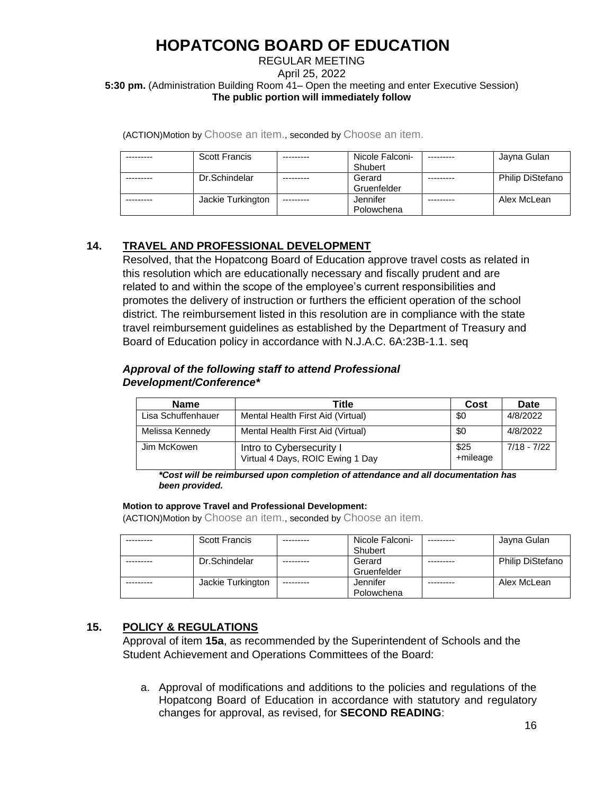### REGULAR MEETING April 25, 2022 **5:30 pm.** (Administration Building Room 41– Open the meeting and enter Executive Session) **The public portion will immediately follow**

(ACTION)Motion by Choose an item., seconded by Choose an item.

| <b>Scott Francis</b> | ---------  | Nicole Falconi- | --------- | Jayna Gulan             |
|----------------------|------------|-----------------|-----------|-------------------------|
|                      |            | Shubert         |           |                         |
| Dr.Schindelar        |            | Gerard          |           | <b>Philip DiStefano</b> |
|                      |            | Gruenfelder     |           |                         |
| Jackie Turkington    | ---------- | Jennifer        |           | Alex McLean             |
|                      |            | Polowchena      |           |                         |

## **14. TRAVEL AND PROFESSIONAL DEVELOPMENT**

Resolved, that the Hopatcong Board of Education approve travel costs as related in this resolution which are educationally necessary and fiscally prudent and are related to and within the scope of the employee's current responsibilities and promotes the delivery of instruction or furthers the efficient operation of the school district. The reimbursement listed in this resolution are in compliance with the state travel reimbursement guidelines as established by the Department of Treasury and Board of Education policy in accordance with N.J.A.C. 6A:23B-1.1. seq

### *Approval of the following staff to attend Professional Development/Conference\**

| <b>Name</b>        | Title                                                        | Cost             | Date        |
|--------------------|--------------------------------------------------------------|------------------|-------------|
| Lisa Schuffenhauer | Mental Health First Aid (Virtual)                            | \$0              | 4/8/2022    |
| Melissa Kennedy    | Mental Health First Aid (Virtual)                            | \$0              | 4/8/2022    |
| Jim McKowen        | Intro to Cybersecurity I<br>Virtual 4 Days, ROIC Ewing 1 Day | \$25<br>+mileage | 7/18 - 7/22 |

*\*Cost will be reimbursed upon completion of attendance and all documentation has been provided.* 

#### **Motion to approve Travel and Professional Development:**

(ACTION)Motion by Choose an item., seconded by Choose an item.

| <b>Scott Francis</b> |            | Nicole Falconi-<br>Shubert | --------- | Jayna Gulan             |
|----------------------|------------|----------------------------|-----------|-------------------------|
| Dr.Schindelar        |            | Gerard<br>Gruenfelder      |           | <b>Philip DiStefano</b> |
| Jackie Turkington    | ---------- | Jennifer<br>Polowchena     |           | Alex McLean             |

### **15. POLICY & REGULATIONS**

Approval of item **15a**, as recommended by the Superintendent of Schools and the Student Achievement and Operations Committees of the Board:

a. Approval of modifications and additions to the policies and regulations of the Hopatcong Board of Education in accordance with statutory and regulatory changes for approval, as revised, for **SECOND READING**: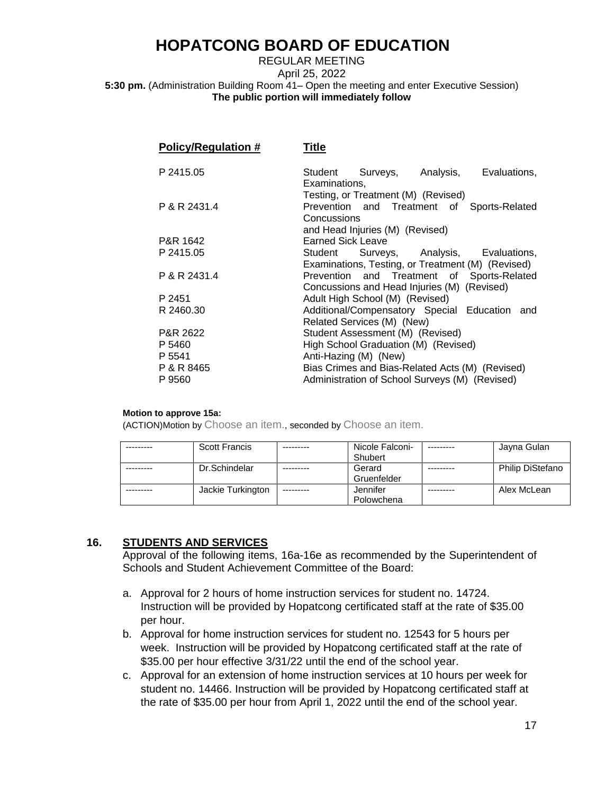### REGULAR MEETING April 25, 2022 **5:30 pm.** (Administration Building Room 41– Open the meeting and enter Executive Session) **The public portion will immediately follow**

| <b>Policy/Regulation #</b> | Title                                                                                                                               |
|----------------------------|-------------------------------------------------------------------------------------------------------------------------------------|
| P 2415.05                  | Evaluations,<br>Student Surveys, Analysis,<br>Examinations,                                                                         |
| P & R 2431.4               | Testing, or Treatment (M) (Revised)<br>Prevention and Treatment of Sports-Related<br>Concussions<br>and Head Injuries (M) (Revised) |
| P&R 1642                   | Earned Sick Leave                                                                                                                   |
| P 2415.05                  | Student Surveys, Analysis, Evaluations,<br>Examinations, Testing, or Treatment (M) (Revised)                                        |
| P & R 2431.4               | Prevention and Treatment of Sports-Related<br>Concussions and Head Injuries (M) (Revised)                                           |
| P 2451                     | Adult High School (M) (Revised)                                                                                                     |
| R 2460.30                  | Additional/Compensatory Special Education and<br>Related Services (M) (New)                                                         |
| P&R 2622                   | Student Assessment (M) (Revised)                                                                                                    |
| P 5460                     | High School Graduation (M) (Revised)                                                                                                |
| P 5541                     | Anti-Hazing (M) (New)                                                                                                               |
| P & R 8465                 | Bias Crimes and Bias-Related Acts (M) (Revised)                                                                                     |
| P 9560                     | Administration of School Surveys (M) (Revised)                                                                                      |

#### **Motion to approve 15a:**

(ACTION)Motion by Choose an item., seconded by Choose an item.

| <b>Scott Francis</b> |            | Nicole Falconi- | --------- | Jayna Gulan      |
|----------------------|------------|-----------------|-----------|------------------|
|                      |            | Shubert         |           |                  |
| Dr.Schindelar        |            | Gerard          |           | Philip DiStefano |
|                      |            | Gruenfelder     |           |                  |
| Jackie Turkington    | ---------- | Jennifer        |           | Alex McLean      |
|                      |            | Polowchena      |           |                  |

### **16. STUDENTS AND SERVICES**

Approval of the following items, 16a-16e as recommended by the Superintendent of Schools and Student Achievement Committee of the Board:

- a. Approval for 2 hours of home instruction services for student no. 14724. Instruction will be provided by Hopatcong certificated staff at the rate of \$35.00 per hour.
- b. Approval for home instruction services for student no. 12543 for 5 hours per week. Instruction will be provided by Hopatcong certificated staff at the rate of \$35.00 per hour effective 3/31/22 until the end of the school year.
- c. Approval for an extension of home instruction services at 10 hours per week for student no. 14466. Instruction will be provided by Hopatcong certificated staff at the rate of \$35.00 per hour from April 1, 2022 until the end of the school year.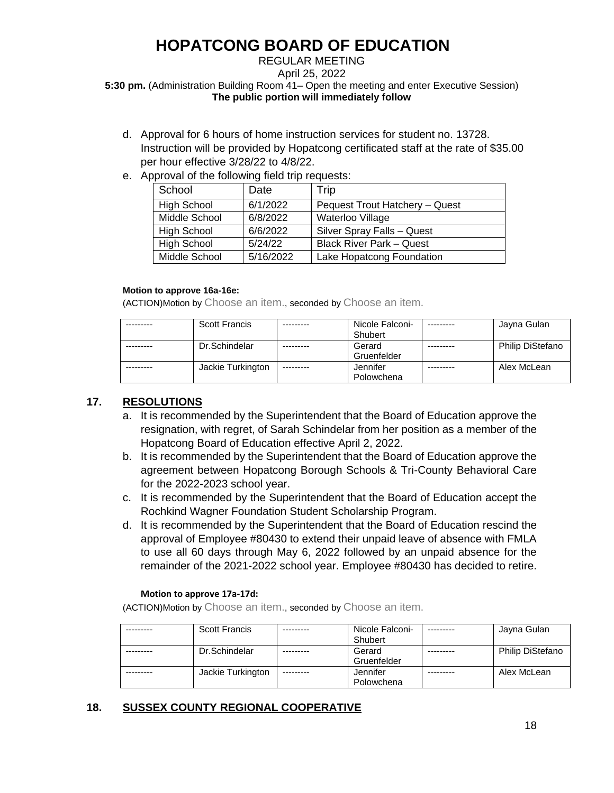#### REGULAR MEETING April 25, 2022 **5:30 pm.** (Administration Building Room 41– Open the meeting and enter Executive Session) **The public portion will immediately follow**

- d. Approval for 6 hours of home instruction services for student no. 13728. Instruction will be provided by Hopatcong certificated staff at the rate of \$35.00 per hour effective 3/28/22 to 4/8/22.
- e. Approval of the following field trip requests:

| School             | Date      | Trip                                  |
|--------------------|-----------|---------------------------------------|
| <b>High School</b> | 6/1/2022  | <b>Pequest Trout Hatchery - Quest</b> |
| Middle School      | 6/8/2022  | Waterloo Village                      |
| <b>High School</b> | 6/6/2022  | Silver Spray Falls - Quest            |
| <b>High School</b> | 5/24/22   | <b>Black River Park - Quest</b>       |
| Middle School      | 5/16/2022 | Lake Hopatcong Foundation             |

#### **Motion to approve 16a-16e:**

(ACTION)Motion by Choose an item., seconded by Choose an item.

| <b>Scott Francis</b> |            | Nicole Falconi- | --------- | Jayna Gulan             |
|----------------------|------------|-----------------|-----------|-------------------------|
|                      |            | Shubert         |           |                         |
| Dr.Schindelar        |            | Gerard          |           | <b>Philip DiStefano</b> |
|                      |            | Gruenfelder     |           |                         |
| Jackie Turkington    | ---------- | Jennifer        |           | Alex McLean             |
|                      |            | Polowchena      |           |                         |

## **17. RESOLUTIONS**

- a. It is recommended by the Superintendent that the Board of Education approve the resignation, with regret, of Sarah Schindelar from her position as a member of the Hopatcong Board of Education effective April 2, 2022.
- b. It is recommended by the Superintendent that the Board of Education approve the agreement between Hopatcong Borough Schools & Tri-County Behavioral Care for the 2022-2023 school year.
- c. It is recommended by the Superintendent that the Board of Education accept the Rochkind Wagner Foundation Student Scholarship Program.
- d. It is recommended by the Superintendent that the Board of Education rescind the approval of Employee #80430 to extend their unpaid leave of absence with FMLA to use all 60 days through May 6, 2022 followed by an unpaid absence for the remainder of the 2021-2022 school year. Employee #80430 has decided to retire.

### **Motion to approve 17a-17d:**

(ACTION)Motion by Choose an item., seconded by Choose an item.

| <b>Scott Francis</b> |            | Nicole Falconi- | Jayna Gulan             |
|----------------------|------------|-----------------|-------------------------|
|                      |            | Shubert         |                         |
| Dr.Schindelar        |            | Gerard          | <b>Philip DiStefano</b> |
|                      |            | Gruenfelder     |                         |
| Jackie Turkington    | ---------- | Jennifer        | Alex McLean             |
|                      |            | Polowchena      |                         |

## **18. SUSSEX COUNTY REGIONAL COOPERATIVE**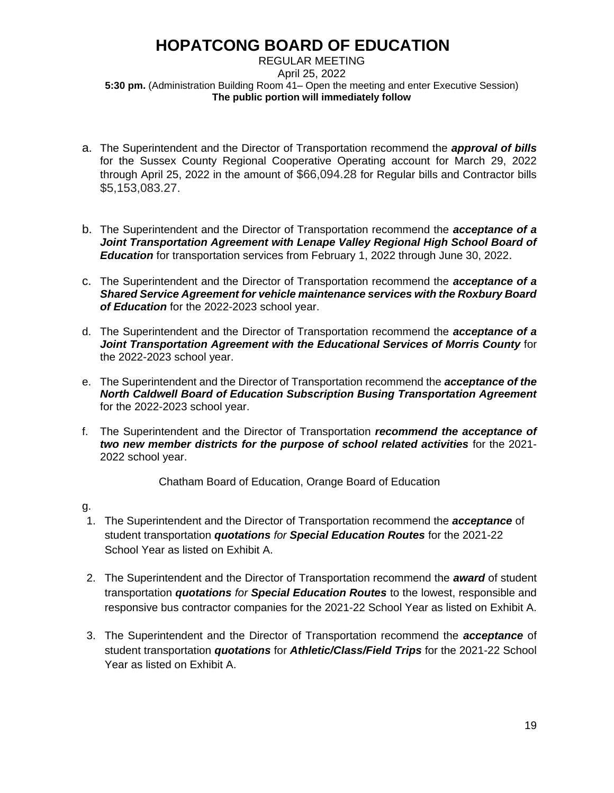### REGULAR MEETING April 25, 2022 **5:30 pm.** (Administration Building Room 41– Open the meeting and enter Executive Session) **The public portion will immediately follow**

- a. The Superintendent and the Director of Transportation recommend the *approval of bills* for the Sussex County Regional Cooperative Operating account for March 29, 2022 through April 25, 2022 in the amount of \$66,094.28 for Regular bills and Contractor bills \$5,153,083.27.
- b. The Superintendent and the Director of Transportation recommend the *acceptance of a Joint Transportation Agreement with Lenape Valley Regional High School Board of*  **Education** for transportation services from February 1, 2022 through June 30, 2022.
- c. The Superintendent and the Director of Transportation recommend the *acceptance of a Shared Service Agreement for vehicle maintenance services with the Roxbury Board of Education* for the 2022-2023 school year.
- d. The Superintendent and the Director of Transportation recommend the *acceptance of a Joint Transportation Agreement with the Educational Services of Morris County* for the 2022-2023 school year.
- e. The Superintendent and the Director of Transportation recommend the *acceptance of the North Caldwell Board of Education Subscription Busing Transportation Agreement* for the 2022-2023 school year.
- f. The Superintendent and the Director of Transportation *recommend the acceptance of two new member districts for the purpose of school related activities* for the 2021- 2022 school year.

Chatham Board of Education, Orange Board of Education

### g.

- 1. The Superintendent and the Director of Transportation recommend the *acceptance* of student transportation *quotations for Special Education Routes* for the 2021-22 School Year as listed on Exhibit A.
- 2. The Superintendent and the Director of Transportation recommend the *award* of student transportation *quotations for Special Education Routes* to the lowest, responsible and responsive bus contractor companies for the 2021-22 School Year as listed on Exhibit A.
- 3. The Superintendent and the Director of Transportation recommend the *acceptance* of student transportation *quotations* for *Athletic/Class/Field Trips* for the 2021-22 School Year as listed on Exhibit A.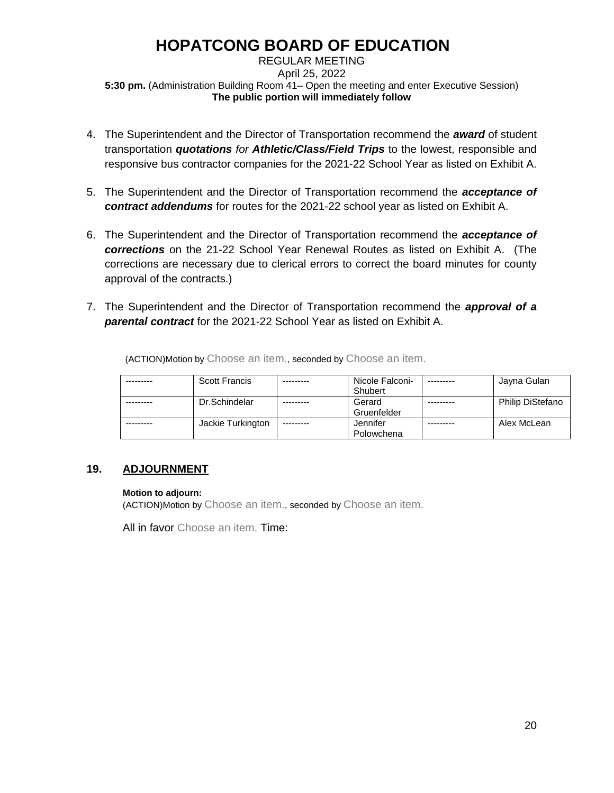REGULAR MEETING April 25, 2022 **5:30 pm.** (Administration Building Room 41– Open the meeting and enter Executive Session) **The public portion will immediately follow**

- 4. The Superintendent and the Director of Transportation recommend the *award* of student transportation *quotations for Athletic/Class/Field Trips* to the lowest, responsible and responsive bus contractor companies for the 2021-22 School Year as listed on Exhibit A.
- 5. The Superintendent and the Director of Transportation recommend the *acceptance of contract addendums* for routes for the 2021-22 school year as listed on Exhibit A.
- 6. The Superintendent and the Director of Transportation recommend the *acceptance of corrections* on the 21-22 School Year Renewal Routes as listed on Exhibit A. (The corrections are necessary due to clerical errors to correct the board minutes for county approval of the contracts.)
- 7. The Superintendent and the Director of Transportation recommend the *approval of a parental contract* for the 2021-22 School Year as listed on Exhibit A.

| <b>Scott Francis</b> |            | Nicole Falconi-<br>Shubert | --------- | Jayna Gulan             |
|----------------------|------------|----------------------------|-----------|-------------------------|
| Dr.Schindelar        |            | Gerard<br>Gruenfelder      |           | <b>Philip DiStefano</b> |
| Jackie Turkington    | ---------- | Jennifer<br>Polowchena     |           | Alex McLean             |

(ACTION)Motion by Choose an item., seconded by Choose an item.

## **19. ADJOURNMENT**

### **Motion to adjourn:**

(ACTION)Motion by Choose an item., seconded by Choose an item.

All in favor Choose an item. Time: